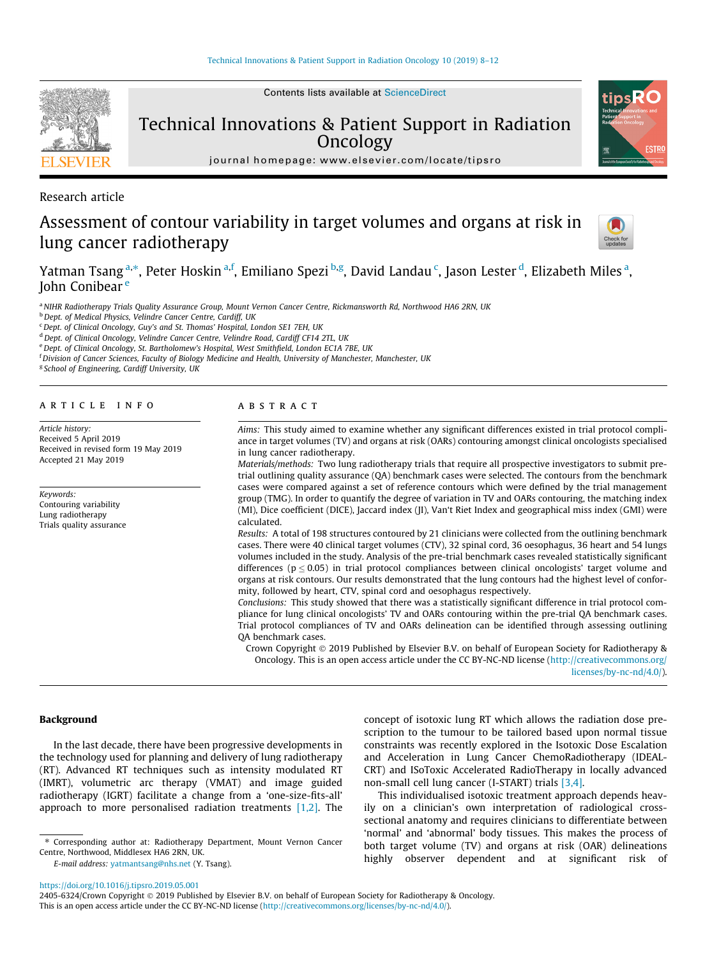

Technical Innovations & Patient Support in Radiation Oncology

journal homepage: [www.elsevier.com/locate/tipsro](http://www.elsevier.com/locate/tipsro)

Research article

# Assessment of contour variability in target volumes and organs at risk in lung cancer radiotherapy



Yatman Tsang <sup>a,</sup>\*, Peter Hoskin <sup>a,f</sup>, Emiliano Spezi <sup>b,g</sup>, David Landau <sup>c</sup>, Jason Lester <sup>d</sup>, Elizabeth Miles <sup>a</sup>, John Conibear <sup>e</sup>

a NIHR Radiotherapy Trials Quality Assurance Group, Mount Vernon Cancer Centre, Rickmansworth Rd, Northwood HA6 2RN, UK

**b** Dept. of Medical Physics, Velindre Cancer Centre, Cardiff, UK

<sup>c</sup> Dept. of Clinical Oncology, Guy's and St. Thomas' Hospital, London SE1 7EH, UK

<sup>d</sup> Dept. of Clinical Oncology, Velindre Cancer Centre, Velindre Road, Cardiff CF14 2TL, UK

e Dept. of Clinical Oncology, St. Bartholomew's Hospital, West Smithfield, London EC1A 7BE, UK

f Division of Cancer Sciences, Faculty of Biology Medicine and Health, University of Manchester, Manchester, UK

<sup>g</sup> School of Engineering, Cardiff University, UK

## article info

Article history: Received 5 April 2019 Received in revised form 19 May 2019 Accepted 21 May 2019

Keywords: Contouring variability Lung radiotherapy Trials quality assurance

# **ABSTRACT**

Aims: This study aimed to examine whether any significant differences existed in trial protocol compliance in target volumes (TV) and organs at risk (OARs) contouring amongst clinical oncologists specialised in lung cancer radiotherapy.

Materials/methods: Two lung radiotherapy trials that require all prospective investigators to submit pretrial outlining quality assurance (QA) benchmark cases were selected. The contours from the benchmark cases were compared against a set of reference contours which were defined by the trial management group (TMG). In order to quantify the degree of variation in TV and OARs contouring, the matching index (MI), Dice coefficient (DICE), Jaccard index (JI), Van't Riet Index and geographical miss index (GMI) were calculated.

Results: A total of 198 structures contoured by 21 clinicians were collected from the outlining benchmark cases. There were 40 clinical target volumes (CTV), 32 spinal cord, 36 oesophagus, 36 heart and 54 lungs volumes included in the study. Analysis of the pre-trial benchmark cases revealed statistically significant differences ( $p < 0.05$ ) in trial protocol compliances between clinical oncologists' target volume and organs at risk contours. Our results demonstrated that the lung contours had the highest level of conformity, followed by heart, CTV, spinal cord and oesophagus respectively.

Conclusions: This study showed that there was a statistically significant difference in trial protocol compliance for lung clinical oncologists' TV and OARs contouring within the pre-trial QA benchmark cases. Trial protocol compliances of TV and OARs delineation can be identified through assessing outlining QA benchmark cases.

Crown Copyright  $\odot$  2019 Published by Elsevier B.V. on behalf of European Society for Radiotherapy & Oncology. This is an open access article under the CC BY-NC-ND license [\(http://creativecommons.org/](http://creativecommons.org/licenses/by-nc-nd/4.0/) [licenses/by-nc-nd/4.0/](http://creativecommons.org/licenses/by-nc-nd/4.0/)).

# Background

In the last decade, there have been progressive developments in the technology used for planning and delivery of lung radiotherapy (RT). Advanced RT techniques such as intensity modulated RT (IMRT), volumetric arc therapy (VMAT) and image guided radiotherapy (IGRT) facilitate a change from a 'one-size-fits-all' approach to more personalised radiation treatments  $[1,2]$ . The concept of isotoxic lung RT which allows the radiation dose prescription to the tumour to be tailored based upon normal tissue constraints was recently explored in the Isotoxic Dose Escalation and Acceleration in Lung Cancer ChemoRadiotherapy (IDEAL-CRT) and ISoToxic Accelerated RadioTherapy in locally advanced non-small cell lung cancer (I-START) trials [\[3,4\].](#page-4-0)

This individualised isotoxic treatment approach depends heavily on a clinician's own interpretation of radiological crosssectional anatomy and requires clinicians to differentiate between 'normal' and 'abnormal' body tissues. This makes the process of both target volume (TV) and organs at risk (OAR) delineations highly observer dependent and at significant risk of

<https://doi.org/10.1016/j.tipsro.2019.05.001>

<sup>⇑</sup> Corresponding author at: Radiotherapy Department, Mount Vernon Cancer Centre, Northwood, Middlesex HA6 2RN, UK.

E-mail address: [yatmantsang@nhs.net](mailto:yatmantsang@nhs.net) (Y. Tsang).

<sup>2405-6324/</sup>Crown Copyright © 2019 Published by Elsevier B.V. on behalf of European Society for Radiotherapy & Oncology. This is an open access article under the CC BY-NC-ND license [\(http://creativecommons.org/licenses/by-nc-nd/4.0/](http://creativecommons.org/licenses/by-nc-nd/4.0/)).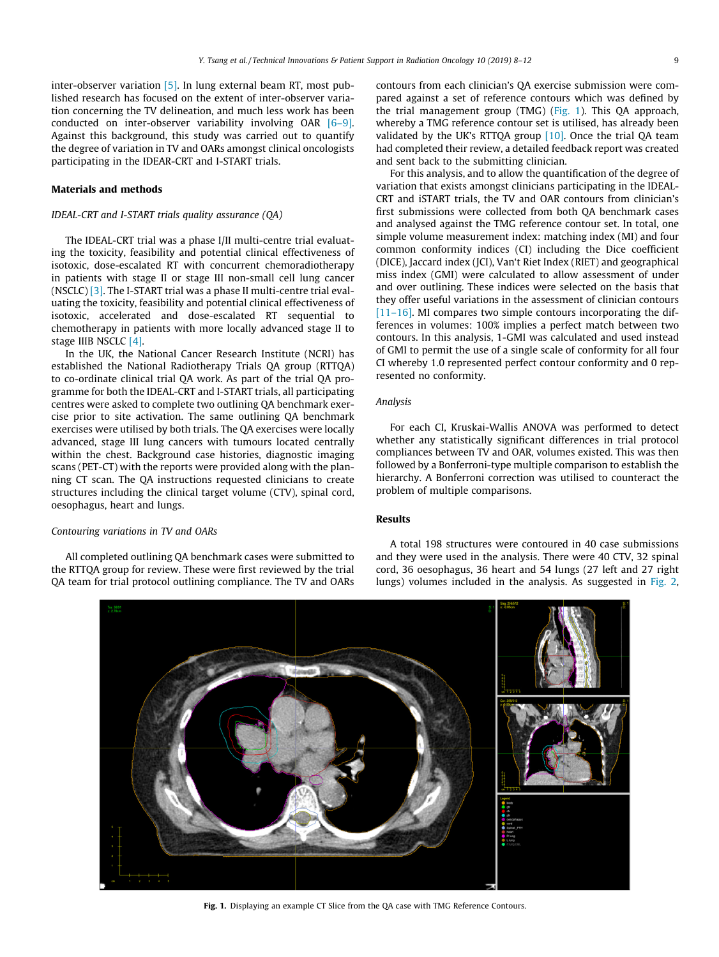<span id="page-1-0"></span>inter-observer variation [\[5\].](#page-4-0) In lung external beam RT, most published research has focused on the extent of inter-observer variation concerning the TV delineation, and much less work has been conducted on inter-observer variability involving OAR [\[6–9\].](#page-4-0) Against this background, this study was carried out to quantify the degree of variation in TV and OARs amongst clinical oncologists participating in the IDEAR-CRT and I-START trials.

## Materials and methods

# IDEAL-CRT and I-START trials quality assurance (QA)

The IDEAL-CRT trial was a phase I/II multi-centre trial evaluating the toxicity, feasibility and potential clinical effectiveness of isotoxic, dose-escalated RT with concurrent chemoradiotherapy in patients with stage II or stage III non-small cell lung cancer (NSCLC) [\[3\]](#page-4-0). The I-START trial was a phase II multi-centre trial evaluating the toxicity, feasibility and potential clinical effectiveness of isotoxic, accelerated and dose-escalated RT sequential to chemotherapy in patients with more locally advanced stage II to stage IIIB NSCLC [\[4\].](#page-4-0)

In the UK, the National Cancer Research Institute (NCRI) has established the National Radiotherapy Trials QA group (RTTQA) to co-ordinate clinical trial QA work. As part of the trial QA programme for both the IDEAL-CRT and I-START trials, all participating centres were asked to complete two outlining QA benchmark exercise prior to site activation. The same outlining QA benchmark exercises were utilised by both trials. The QA exercises were locally advanced, stage III lung cancers with tumours located centrally within the chest. Background case histories, diagnostic imaging scans (PET-CT) with the reports were provided along with the planning CT scan. The QA instructions requested clinicians to create structures including the clinical target volume (CTV), spinal cord, oesophagus, heart and lungs.

#### Contouring variations in TV and OARs

All completed outlining QA benchmark cases were submitted to the RTTQA group for review. These were first reviewed by the trial QA team for trial protocol outlining compliance. The TV and OARs

contours from each clinician's QA exercise submission were compared against a set of reference contours which was defined by the trial management group (TMG) (Fig. 1). This QA approach, whereby a TMG reference contour set is utilised, has already been validated by the UK's RTTQA group  $[10]$ . Once the trial QA team had completed their review, a detailed feedback report was created and sent back to the submitting clinician.

For this analysis, and to allow the quantification of the degree of variation that exists amongst clinicians participating in the IDEAL-CRT and iSTART trials, the TV and OAR contours from clinician's first submissions were collected from both QA benchmark cases and analysed against the TMG reference contour set. In total, one simple volume measurement index: matching index (MI) and four common conformity indices (CI) including the Dice coefficient (DICE), Jaccard index (JCI), Van't Riet Index (RIET) and geographical miss index (GMI) were calculated to allow assessment of under and over outlining. These indices were selected on the basis that they offer useful variations in the assessment of clinician contours [\[11–16\]](#page-4-0). MI compares two simple contours incorporating the differences in volumes: 100% implies a perfect match between two contours. In this analysis, 1-GMI was calculated and used instead of GMI to permit the use of a single scale of conformity for all four CI whereby 1.0 represented perfect contour conformity and 0 represented no conformity.

## Analysis

For each CI, Kruskai-Wallis ANOVA was performed to detect whether any statistically significant differences in trial protocol compliances between TV and OAR, volumes existed. This was then followed by a Bonferroni-type multiple comparison to establish the hierarchy. A Bonferroni correction was utilised to counteract the problem of multiple comparisons.

## Results

A total 198 structures were contoured in 40 case submissions and they were used in the analysis. There were 40 CTV, 32 spinal cord, 36 oesophagus, 36 heart and 54 lungs (27 left and 27 right lungs) volumes included in the analysis. As suggested in [Fig. 2,](#page-2-0)



Fig. 1. Displaying an example CT Slice from the QA case with TMG Reference Contours.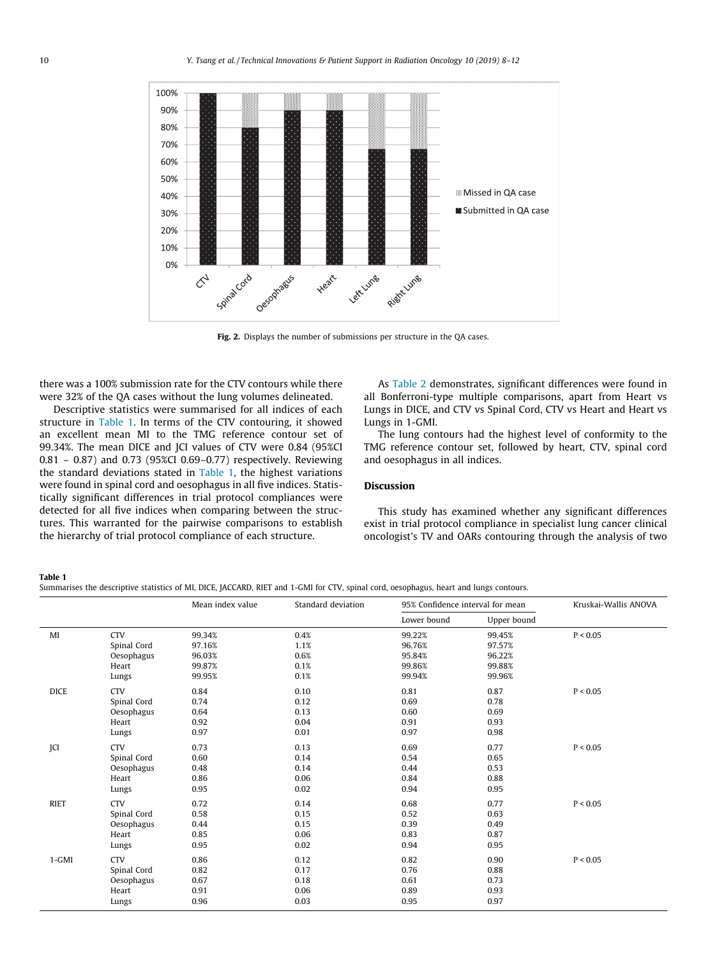<span id="page-2-0"></span>

Fig. 2. Displays the number of submissions per structure in the QA cases.

there was a 100% submission rate for the CTV contours while there were 32% of the QA cases without the lung volumes delineated.

Descriptive statistics were summarised for all indices of each structure in Table 1. In terms of the CTV contouring, it showed an excellent mean MI to the TMG reference contour set of 99.34%. The mean DICE and JCI values of CTV were 0.84 (95%CI 0.81 – 0.87) and 0.73 (95%CI 0.69–0.77) respectively. Reviewing the standard deviations stated in Table 1, the highest variations were found in spinal cord and oesophagus in all five indices. Statistically significant differences in trial protocol compliances were detected for all five indices when comparing between the structures. This warranted for the pairwise comparisons to establish the hierarchy of trial protocol compliance of each structure.

As [Table 2](#page-3-0) demonstrates, significant differences were found in all Bonferroni-type multiple comparisons, apart from Heart vs Lungs in DICE, and CTV vs Spinal Cord, CTV vs Heart and Heart vs Lungs in 1-GMI.

The lung contours had the highest level of conformity to the TMG reference contour set, followed by heart, CTV, spinal cord and oesophagus in all indices.

# Discussion

This study has examined whether any significant differences exist in trial protocol compliance in specialist lung cancer clinical oncologist's TV and OARs contouring through the analysis of two

#### Table 1

Summarises the descriptive statistics of MI, DICE, JACCARD, RIET and 1-GMI for CTV, spinal cord, oesophagus, heart and lungs contours.

|             |             | Mean index value<br>Standard deviation |      | 95% Confidence interval for mean |             | Kruskai-Wallis ANOVA |
|-------------|-------------|----------------------------------------|------|----------------------------------|-------------|----------------------|
|             |             |                                        |      | Lower bound                      | Upper bound |                      |
| MI          | <b>CTV</b>  | 99.34%                                 | 0.4% | 99.22%                           | 99.45%      | P < 0.05             |
|             | Spinal Cord | 97.16%                                 | 1.1% | 96.76%                           | 97.57%      |                      |
|             | Oesophagus  | 96.03%                                 | 0.6% | 95.84%                           | 96.22%      |                      |
|             | Heart       | 99.87%                                 | 0.1% | 99.86%                           | 99.88%      |                      |
|             | Lungs       | 99.95%                                 | 0.1% | 99.94%                           | 99.96%      |                      |
| <b>DICE</b> | CTV         | 0.84                                   | 0.10 | 0.81                             | 0.87        | P < 0.05             |
|             | Spinal Cord | 0.74                                   | 0.12 | 0.69                             | 0.78        |                      |
|             | Oesophagus  | 0.64                                   | 0.13 | 0.60                             | 0.69        |                      |
|             | Heart       | 0.92                                   | 0.04 | 0.91                             | 0.93        |                      |
|             | Lungs       | 0.97                                   | 0.01 | 0.97                             | 0.98        |                      |
| JCI         | <b>CTV</b>  | 0.73                                   | 0.13 | 0.69                             | 0.77        | P < 0.05             |
|             | Spinal Cord | 0.60                                   | 0.14 | 0.54                             | 0.65        |                      |
|             | Oesophagus  | 0.48                                   | 0.14 | 0.44                             | 0.53        |                      |
|             | Heart       | 0.86                                   | 0.06 | 0.84                             | 0.88        |                      |
|             | Lungs       | 0.95                                   | 0.02 | 0.94                             | 0.95        |                      |
| <b>RIET</b> | <b>CTV</b>  | 0.72                                   | 0.14 | 0.68                             | 0.77        | P < 0.05             |
|             | Spinal Cord | 0.58                                   | 0.15 | 0.52                             | 0.63        |                      |
|             | Oesophagus  | 0.44                                   | 0.15 | 0.39                             | 0.49        |                      |
|             | Heart       | 0.85                                   | 0.06 | 0.83                             | 0.87        |                      |
|             | Lungs       | 0.95                                   | 0.02 | 0.94                             | 0.95        |                      |
| $1-GMI$     | <b>CTV</b>  | 0.86                                   | 0.12 | 0.82                             | 0.90        | P < 0.05             |
|             | Spinal Cord | 0.82                                   | 0.17 | 0.76                             | 0.88        |                      |
|             | Oesophagus  | 0.67                                   | 0.18 | 0.61                             | 0.73        |                      |
|             | Heart       | 0.91                                   | 0.06 | 0.89                             | 0.93        |                      |
|             | Lungs       | 0.96                                   | 0.03 | 0.95                             | 0.97        |                      |
|             |             |                                        |      |                                  |             |                      |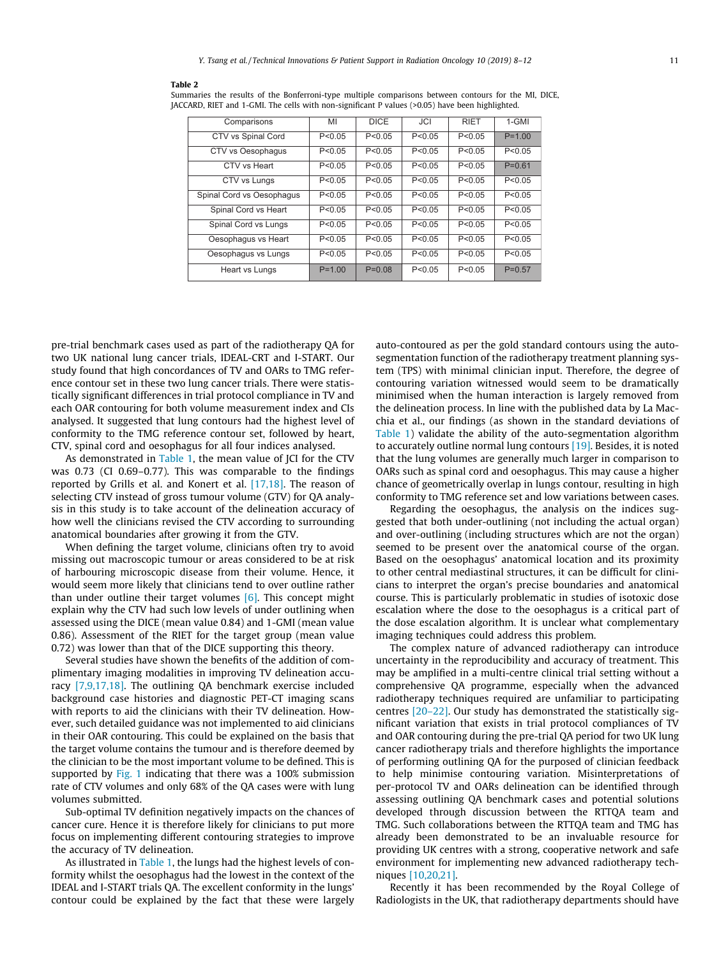#### <span id="page-3-0"></span>Table 2

Summaries the results of the Bonferroni-type multiple comparisons between contours for the MI, DICE, JACCARD, RIET and 1-GMI. The cells with non-significant P values (>0.05) have been highlighted.

| Comparisons               | MI         | <b>DICE</b> | <b>JCI</b> | <b>RIET</b> | 1-GMI      |
|---------------------------|------------|-------------|------------|-------------|------------|
| CTV vs Spinal Cord        | P < 0.05   | P < 0.05    | P < 0.05   | P < 0.05    | $P = 1.00$ |
| CTV vs Oesophagus         | P < 0.05   | P < 0.05    | P < 0.05   | P < 0.05    | P < 0.05   |
| CTV vs Heart              | P < 0.05   | P < 0.05    | P < 0.05   | P < 0.05    | $P=0.61$   |
| CTV vs Lungs              | P < 0.05   | P < 0.05    | P < 0.05   | P < 0.05    | P < 0.05   |
| Spinal Cord vs Oesophagus | P < 0.05   | P < 0.05    | P < 0.05   | P < 0.05    | P < 0.05   |
| Spinal Cord vs Heart      | P < 0.05   | P < 0.05    | P < 0.05   | P < 0.05    | P < 0.05   |
| Spinal Cord vs Lungs      | P < 0.05   | P < 0.05    | P < 0.05   | P < 0.05    | P < 0.05   |
| Oesophagus vs Heart       | P < 0.05   | P < 0.05    | P < 0.05   | P < 0.05    | P < 0.05   |
| Oesophagus vs Lungs       | P < 0.05   | P < 0.05    | P < 0.05   | P < 0.05    | P < 0.05   |
| Heart vs Lungs            | $P = 1.00$ | $P=0.08$    | P < 0.05   | P < 0.05    | $P=0.57$   |

pre-trial benchmark cases used as part of the radiotherapy QA for two UK national lung cancer trials, IDEAL-CRT and I-START. Our study found that high concordances of TV and OARs to TMG reference contour set in these two lung cancer trials. There were statistically significant differences in trial protocol compliance in TV and each OAR contouring for both volume measurement index and CIs analysed. It suggested that lung contours had the highest level of conformity to the TMG reference contour set, followed by heart, CTV, spinal cord and oesophagus for all four indices analysed.

As demonstrated in [Table 1,](#page-2-0) the mean value of JCI for the CTV was 0.73 (CI 0.69–0.77). This was comparable to the findings reported by Grills et al. and Konert et al. [\[17,18\].](#page-4-0) The reason of selecting CTV instead of gross tumour volume (GTV) for QA analysis in this study is to take account of the delineation accuracy of how well the clinicians revised the CTV according to surrounding anatomical boundaries after growing it from the GTV.

When defining the target volume, clinicians often try to avoid missing out macroscopic tumour or areas considered to be at risk of harbouring microscopic disease from their volume. Hence, it would seem more likely that clinicians tend to over outline rather than under outline their target volumes  $[6]$ . This concept might explain why the CTV had such low levels of under outlining when assessed using the DICE (mean value 0.84) and 1-GMI (mean value 0.86). Assessment of the RIET for the target group (mean value 0.72) was lower than that of the DICE supporting this theory.

Several studies have shown the benefits of the addition of complimentary imaging modalities in improving TV delineation accuracy [\[7,9,17,18\].](#page-4-0) The outlining QA benchmark exercise included background case histories and diagnostic PET-CT imaging scans with reports to aid the clinicians with their TV delineation. However, such detailed guidance was not implemented to aid clinicians in their OAR contouring. This could be explained on the basis that the target volume contains the tumour and is therefore deemed by the clinician to be the most important volume to be defined. This is supported by [Fig. 1](#page-1-0) indicating that there was a 100% submission rate of CTV volumes and only 68% of the QA cases were with lung volumes submitted.

Sub-optimal TV definition negatively impacts on the chances of cancer cure. Hence it is therefore likely for clinicians to put more focus on implementing different contouring strategies to improve the accuracy of TV delineation.

As illustrated in [Table 1,](#page-2-0) the lungs had the highest levels of conformity whilst the oesophagus had the lowest in the context of the IDEAL and I-START trials QA. The excellent conformity in the lungs' contour could be explained by the fact that these were largely auto-contoured as per the gold standard contours using the autosegmentation function of the radiotherapy treatment planning system (TPS) with minimal clinician input. Therefore, the degree of contouring variation witnessed would seem to be dramatically minimised when the human interaction is largely removed from the delineation process. In line with the published data by La Macchia et al., our findings (as shown in the standard deviations of [Table 1](#page-2-0)) validate the ability of the auto-segmentation algorithm to accurately outline normal lung contours [\[19\]](#page-4-0). Besides, it is noted that the lung volumes are generally much larger in comparison to OARs such as spinal cord and oesophagus. This may cause a higher chance of geometrically overlap in lungs contour, resulting in high conformity to TMG reference set and low variations between cases.

Regarding the oesophagus, the analysis on the indices suggested that both under-outlining (not including the actual organ) and over-outlining (including structures which are not the organ) seemed to be present over the anatomical course of the organ. Based on the oesophagus' anatomical location and its proximity to other central mediastinal structures, it can be difficult for clinicians to interpret the organ's precise boundaries and anatomical course. This is particularly problematic in studies of isotoxic dose escalation where the dose to the oesophagus is a critical part of the dose escalation algorithm. It is unclear what complementary imaging techniques could address this problem.

The complex nature of advanced radiotherapy can introduce uncertainty in the reproducibility and accuracy of treatment. This may be amplified in a multi-centre clinical trial setting without a comprehensive QA programme, especially when the advanced radiotherapy techniques required are unfamiliar to participating centres [\[20–22\]](#page-4-0). Our study has demonstrated the statistically significant variation that exists in trial protocol compliances of TV and OAR contouring during the pre-trial QA period for two UK lung cancer radiotherapy trials and therefore highlights the importance of performing outlining QA for the purposed of clinician feedback to help minimise contouring variation. Misinterpretations of per-protocol TV and OARs delineation can be identified through assessing outlining QA benchmark cases and potential solutions developed through discussion between the RTTQA team and TMG. Such collaborations between the RTTQA team and TMG has already been demonstrated to be an invaluable resource for providing UK centres with a strong, cooperative network and safe environment for implementing new advanced radiotherapy techniques [\[10,20,21\]](#page-4-0).

Recently it has been recommended by the Royal College of Radiologists in the UK, that radiotherapy departments should have